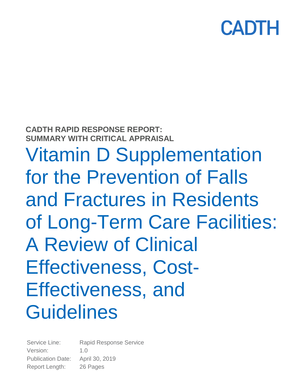**CADTH RAPID RESPONSE REPORT: SUMMARY WITH CRITICAL APPRAISAL**

Vitamin D Supplementation for the Prevention of Falls and Fractures in Residents of Long-Term Care Facilities: A Review of Clinical Effectiveness, Cost-Effectiveness, and **Guidelines** 

Service Line: Rapid Response Service Version: 1.0 Publication Date: April 30, 2019 Report Length: 26 Pages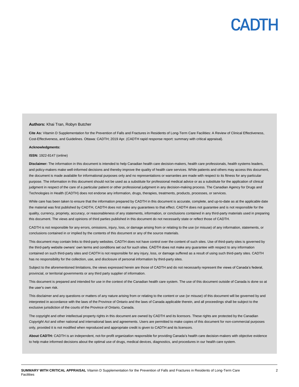#### **Authors:** Khai Tran, Robyn Butcher

**Cite As:** Vitamin D Supplementation for the Prevention of Falls and Fractures in Residents of Long-Term Care Facilities: A Review of Clinical Effectiveness, Cost-Effectiveness, and Guidelines. Ottawa: CADTH; 2019 Apr. (CADTH rapid response report: summary with critical appraisal).

#### **Acknowledgments:**

#### **ISSN:** 1922-8147 (online)

**Disclaimer:** The information in this document is intended to help Canadian health care decision-makers, health care professionals, health systems leaders, and policy-makers make well-informed decisions and thereby improve the quality of health care services. While patients and others may access this document, the document is made available for informational purposes only and no representations or warranties are made with respect to its fitness for any particular purpose. The information in this document should not be used as a substitute for professional medical advice or as a substitute for the application of clinical judgment in respect of the care of a particular patient or other professional judgment in any decision-making process. The Canadian Agency for Drugs and Technologies in Health (CADTH) does not endorse any information, drugs, therapies, treatments, products, processes, or services.

While care has been taken to ensure that the information prepared by CADTH in this document is accurate, complete, and up-to-date as at the applicable date the material was first published by CADTH, CADTH does not make any guarantees to that effect. CADTH does not guarantee and is not responsible for the quality, currency, propriety, accuracy, or reasonableness of any statements, information, or conclusions contained in any third-party materials used in preparing this document. The views and opinions of third parties published in this document do not necessarily state or reflect those of CADTH.

CADTH is not responsible for any errors, omissions, injury, loss, or damage arising from or relating to the use (or misuse) of any information, statements, or conclusions contained in or implied by the contents of this document or any of the source materials.

This document may contain links to third-party websites. CADTH does not have control over the content of such sites. Use of third-party sites is governed by the third-party website owners' own terms and conditions set out for such sites. CADTH does not make any guarantee with respect to any information contained on such third-party sites and CADTH is not responsible for any injury, loss, or damage suffered as a result of using such third-party sites. CADTH has no responsibility for the collection, use, and disclosure of personal information by third-party sites.

Subject to the aforementioned limitations, the views expressed herein are those of CADTH and do not necessarily represent the views of Canada's federal, provincial, or territorial governments or any third party supplier of information.

This document is prepared and intended for use in the context of the Canadian health care system. The use of this document outside of Canada is done so at the user's own risk.

This disclaimer and any questions or matters of any nature arising from or relating to the content or use (or misuse) of this document will be governed by and interpreted in accordance with the laws of the Province of Ontario and the laws of Canada applicable therein, and all proceedings shall be subject to the exclusive jurisdiction of the courts of the Province of Ontario, Canada.

The copyright and other intellectual property rights in this document are owned by CADTH and its licensors. These rights are protected by the Canadian *Copyright Act* and other national and international laws and agreements. Users are permitted to make copies of this document for non-commercial purposes only, provided it is not modified when reproduced and appropriate credit is given to CADTH and its licensors.

**About CADTH:** CADTH is an independent, not-for-profit organization responsible for providing Canada's health care decision-makers with objective evidence to help make informed decisions about the optimal use of drugs, medical devices, diagnostics, and procedures in our health care system.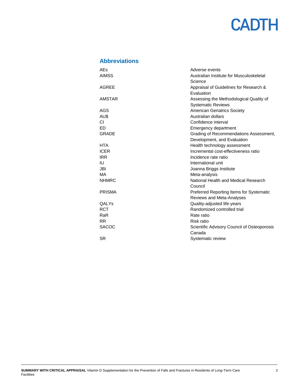### **Abbreviations**

| <b>AFs</b>    | Adverse events                              |
|---------------|---------------------------------------------|
| <b>AIMSS</b>  | Australian Institute for Musculoskeletal    |
|               | Science                                     |
| AGREE         | Appraisal of Guidelines for Research &      |
|               | Evaluation                                  |
| AMSTAR        | Assessing the Methodological Quality of     |
|               | <b>Systematic Reviews</b>                   |
| AGS           | <b>American Geriatrics Society</b>          |
| AU\$          | Australian dollars                          |
| СI            | Confidence interval                         |
| ED            | Emergency department                        |
| <b>GRADE</b>  | Grading of Recommendations Assessment,      |
|               | Development, and Evaluation                 |
| <b>HTA</b>    | Health technology assessment                |
| <b>ICER</b>   | Incremental cost-effectiveness ratio        |
| <b>IRR</b>    | Incidence rate ratio                        |
| IU            | International unit                          |
| <b>JBI</b>    | Joanna Briggs Institute                     |
| MA            | Meta-analysis                               |
| <b>NHMRC</b>  | National Health and Medical Research        |
|               | Council                                     |
| <b>PRISMA</b> | Preferred Reporting Items for Systematic    |
|               | <b>Reviews and Meta-Analyses</b>            |
| <b>QALYs</b>  | Quality-adjusted life-years                 |
| <b>RCT</b>    | Randomized controlled trial                 |
| RaR           | Rate ratio                                  |
| <b>RR</b>     | Risk ratio                                  |
| <b>SACOC</b>  | Scientific Advisory Council of Osteoporosis |
|               | Canada                                      |
| <b>SR</b>     | Systematic review                           |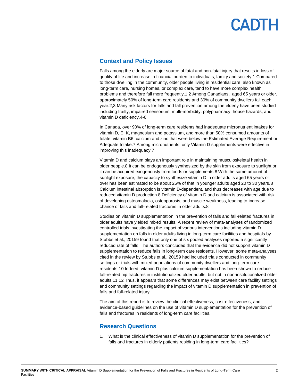### **Context and Policy Issues**

Falls among the elderly are major source of fatal and non-fatal injury that results in loss of quality of life and increase in financial burden to individuals, family and society.1 Compared to those dwelling in the community, older people living in residential care, also known as long-term care, nursing homes, or complex care, tend to have more complex health problems and therefore fall more frequently.1,2 Among Canadians, aged 65 years or older, approximately 50% of long-term care residents and 30% of community dwellers fall each year.2,3 Many risk factors for falls and fall prevention among the elderly have been studied including frailty, impaired sensorium, multi-morbidity, polypharmacy, house hazards, and vitamin D deficiency.4-6

In Canada, over 90% of long-term care residents had inadequate micronutrient intakes for vitamin D, E, K, magnesium and potassium, and more than 50% consumed amounts of folate, vitamin B6, calcium and zinc that were below the Estimated Average Requirement or Adequate Intake.7 Among micronutrients, only Vitamin D supplements were effective in improving this inadequacy.7

Vitamin D and calcium plays an important role in maintaining musculoskeletal health in older people.8 It can be endogenously synthesized by the skin from exposure to sunlight or it can be acquired exogenously from foods or supplements.8 With the same amount of sunlight exposure, the capacity to synthesize vitamin D in older adults aged 65 years or over has been estimated to be about 25% of that in younger adults aged 20 to 30 years.8 Calcium intestinal absorption is vitamin D-dependent, and thus decreases with age due to reduced vitamin D production.8 Deficiency of vitamin D and calcium is associated with risk of developing osteomalacia, osteoporosis, and muscle weakness, leading to increase chance of falls and fall-related fractures in older adults.8

Studies on vitamin D supplementation in the prevention of falls and fall-related fractures in older adults have yielded mixed results. A recent review of meta-analyses of randomized controlled trials investigating the impact of various interventions including vitamin D supplementation on falls in older adults living in long-term care facilities and hospitals by Stubbs et al., 20159 found that only one of six pooled analyses reported a significantly reduced rate of falls. The authors concluded that the evidence did not support vitamin D supplementation to reduce falls in long-term care residents. However, some meta-analyses cited in the review by Stubbs et al., 20159 had included trials conducted in community settings or trials with mixed populations of community dwellers and long-term care residents.10 Indeed, vitamin D plus calcium supplementation has been shown to reduce fall-related hip fractures in institutionalized older adults, but not in non-institutionalized older adults.11,12 Thus, it appears that some differences may exist between care facility settings and community settings regarding the impact of vitamin D supplementation in prevention of falls and fall-related injury.

The aim of this report is to review the clinical effectiveness, cost-effectiveness, and evidence-based guidelines on the use of vitamin D supplementation for the prevention of falls and fractures in residents of long-term care facilities.

### **Research Questions**

1. What is the clinical effectiveness of vitamin D supplementation for the prevention of falls and fractures in elderly patients residing in long-term care facilities?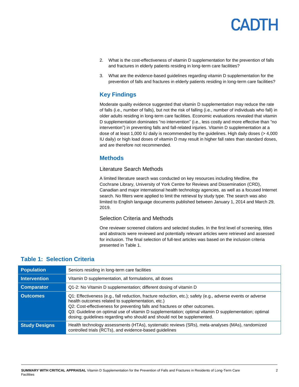- 2. What is the cost-effectiveness of vitamin D supplementation for the prevention of falls and fractures in elderly patients residing in long-term care facilities?
- 3. What are the evidence-based guidelines regarding vitamin D supplementation for the prevention of falls and fractures in elderly patients residing in long-term care facilities?

### **Key Findings**

Moderate quality evidence suggested that vitamin D supplementation may reduce the rate of falls (i.e., number of falls), but not the risk of falling (i.e., number of individuals who fall) in older adults residing in long-term care facilities. Economic evaluations revealed that vitamin D supplementation dominates "no intervention" (i.e., less costly and more effective than "no intervention") in preventing falls and fall-related injuries. Vitamin D supplementation at a dose of at least 1,000 IU daily is recommended by the guidelines. High daily doses (> 4,000 IU daily) or high load doses of vitamin D may result in higher fall rates than standard doses, and are therefore not recommended.

### **Methods**

#### Literature Search Methods

A limited literature search was conducted on key resources including Medline, the Cochrane Library, University of York Centre for Reviews and Dissemination (CRD), Canadian and major international health technology agencies, as well as a focused Internet search. No filters were applied to limit the retrieval by study type. The search was also limited to English language documents published between January 1, 2014 and March 29, 2019.

#### Selection Criteria and Methods

One reviewer screened citations and selected studies. In the first level of screening, titles and abstracts were reviewed and potentially relevant articles were retrieved and assessed for inclusion. The final selection of full-text articles was based on the inclusion criteria presented in [Table 1.](#page-4-0)

### <span id="page-4-0"></span>**Table 1: Selection Criteria**

| <b>Population</b>    | Seniors residing in long-term care facilities                                                                                                                                                                                                                                                                                                                                                                                        |
|----------------------|--------------------------------------------------------------------------------------------------------------------------------------------------------------------------------------------------------------------------------------------------------------------------------------------------------------------------------------------------------------------------------------------------------------------------------------|
| <b>Intervention</b>  | Vitamin D supplementation, all formulations, all doses                                                                                                                                                                                                                                                                                                                                                                               |
| <b>Comparator</b>    | Q1-2: No Vitamin D supplementation; different dosing of vitamin D                                                                                                                                                                                                                                                                                                                                                                    |
| Outcomes             | Q1: Effectiveness (e.g., fall reduction, fracture reduction, etc.); safety (e.g., adverse events or adverse<br>health outcomes related to supplementation, etc.)<br>Q2: Cost-effectiveness for preventing falls and fractures or other outcomes.<br>Q3: Guideline on optimal use of vitamin D supplementation; optimal vitamin D supplementation; optimal<br>dosing; guidelines regarding who should and should not be supplemented. |
| <b>Study Designs</b> | Health technology assessments (HTAs), systematic reviews (SRs), meta-analyses (MAs), randomized<br>controlled trials (RCTs), and evidence-based guidelines                                                                                                                                                                                                                                                                           |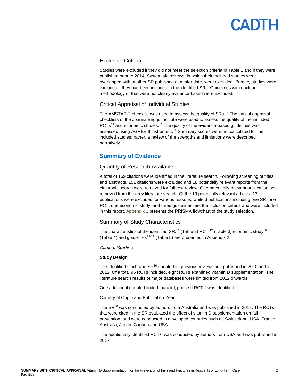## **ANTH**

#### Exclusion Criteria

Studies were excluded if they did not meet the selection criteria i[n Table 1](#page-4-0) and if they were published prior to 2014. Systematic reviews, in which their included studies were overlapped with another SR published at a later date, were excluded. Primary studies were excluded if they had been included in the identified SRs. Guidelines with unclear methodology or that were not clearly evidence-based were excluded.

#### Critical Appraisal of Individual Studies

The AMSTAR-2 checklist was used to assess the quality of SRs.<sup>13</sup> The critical appraisal checklists of the Joanna Briggs Institute were used to assess the quality of the included RCTs<sup>14</sup> and economic studies.<sup>15</sup> The quality of the evidence-based guidelines was assessed using AGREE II instrument.<sup>16</sup> Summary scores were not calculated for the included studies; rather, a review of the strengths and limitations were described narratively.

### **Summary of Evidence**

#### Quantity of Research Available

A total of 169 citations were identified in the literature search. Following screening of titles and abstracts, 151 citations were excluded and 18 potentially relevant reports from the electronic search were retrieved for full-text review. One potentially relevant publication was retrieved from the grey literature search. Of the 19 potentially relevant articles, 13 publications were excluded for various reasons, while 6 publications including one SR, one RCT, one economic study, and three guidelines met the inclusion criteria and were included in this report[. Appendix 1](#page-13-0) presents the PRISMA flowchart of the study selection.

#### Summary of Study Characteristics

The characteristics of the identified SR,<sup>10</sup> [\(Table 2\)](#page-14-0) RCT,<sup>17</sup> [\(Table 3\)](#page-15-0) economic study<sup>18</sup> [\(Table 4\)](#page-15-1) and guidelines<sup>19-21</sup> [\(Table 5\)](#page-17-0) are presented i[n Appendix 2.](#page-14-1)

#### *Clinical Studies*

#### **Study Design**

The identified Cochrane SR<sup>10</sup> updated its previous reviews first published in 2010 and in 2012. Of a total 95 RCTs included, eight RCTs examined vitamin D supplementation. The literature search results of major databases were limited from 2012 onwards.

One additional double-blinded, parallel, phase II RCT<sup>17</sup> was identified.

Country of Origin and Publication Year

The SR<sup>10</sup> was conducted by authors from Australia and was published in 2018. The RCTs that were cited in the SR evaluated the effect of vitamin D supplementation on fall prevention, and were conducted in developed countries such as Switzerland, USA, France, Australia, Japan, Canada and USA.

The additionally identified RCT<sup>17</sup> was conducted by authors from USA and was published in 2017.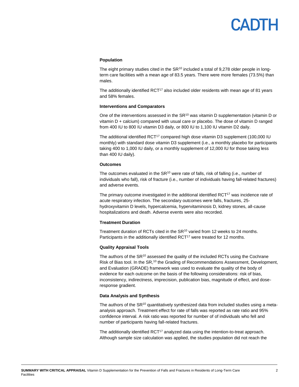## PANTH

#### **Population**

The eight primary studies cited in the  $SR^{10}$  included a total of 9,278 older people in longterm care facilities with a mean age of 83.5 years. There were more females (73.5%) than males.

The additionally identified  $RCT^{17}$  also included older residents with mean age of 81 years and 58% females.

#### **Interventions and Comparators**

One of the interventions assessed in the SR<sup>10</sup> was vitamin D supplementation (vitamin D or vitamin D + calcium) compared with usual care or placebo. The dose of vitamin D ranged from 400 IU to 800 IU vitamin D3 daily, or 800 IU to 1,100 IU vitamin D2 daily.

The additional identified RCT<sup>17</sup> compared high dose vitamin D3 supplement (100,000 IU monthly) with standard dose vitamin D3 supplement (i.e., a monthly placebo for participants taking 400 to 1,000 IU daily, or a monthly supplement of 12,000 IU for those taking less than 400 IU daily).

#### **Outcomes**

The outcomes evaluated in the  $SR^{10}$  were rate of falls, risk of falling (i.e., number of individuals who fall), risk of fracture (i.e., number of individuals having fall-related fractures) and adverse events.

The primary outcome investigated in the additional identified  $RCT^{17}$  was incidence rate of acute respiratory infection. The secondary outcomes were falls, fractures, 25 hydroxyvitamin D levels, hypercalcemia, hypervitaminosis D, kidney stones, all-cause hospitalizations and death. Adverse events were also recorded.

#### **Treatment Duration**

Treatment duration of RCTs cited in the SR<sup>10</sup> varied from 12 weeks to 24 months. Participants in the additionally identified RCT<sup>17</sup> were treated for 12 months.

#### **Quality Appraisal Tools**

The authors of the  $SR^{10}$  assessed the quality of the included RCTs using the Cochrane Risk of Bias tool. In the SR,<sup>10</sup> the Grading of Recommendations Assessment, Development, and Evaluation (GRADE) framework was used to evaluate the quality of the body of evidence for each outcome on the basis of the following considerations: risk of bias, inconsistency, indirectness, imprecision, publication bias, magnitude of effect, and doseresponse gradient.

#### **Data Analysis and Synthesis**

The authors of the  $SR^{10}$  quantitatively synthesized data from included studies using a metaanalysis approach. Treatment effect for rate of falls was reported as rate ratio and 95% confidence interval. A risk ratio was reported for number of of individuals who fell and number of participants having fall-related fractures.

The additionally identified  $RCT^{17}$  analyzed data using the intention-to-treat approach. Although sample size calculation was applied, the studies population did not reach the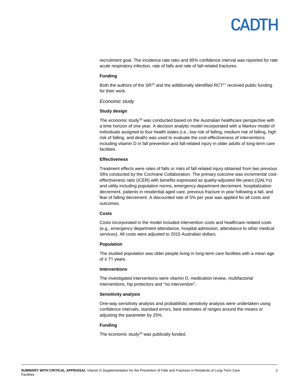### DTE  $\mathbf{A}$

recruitment goal. The incidence rate ratio and 95% confidence interval was reported for rate acute respiratory infection, rate of falls and rate of fall-related fractures.

#### **Funding**

Both the authors of the  $SR^{10}$  and the additionally identified  $RCT^{17}$  received public funding for their work.

#### *Economic study*

#### **Study design**

The economic study<sup>18</sup> was conducted based on the Australian healthcare perspective with a time horizon of one year. A decision analytic model incorporated with a Markov model of individuals assigned to four health states (i.e., low risk of falling, medium risk of falling, high risk of falling, and death) was used to evaluate the cost-effectiveness of interventions including vitamin D in fall prevention and fall-related injury in older adults of long-term care facilities.

#### **Effectiveness**

Treatment effects were rates of falls or risks of fall-related injury obtained from two previous SRs conducted by the Cochrane Collaboration. The primary outcome was incremental costeffectiveness ratio (ICER) with benefits expressed as quality-adjusted life-years (QALYs) and utility including population norms, emergency department decrement, hospitalization decrement, patients in residential aged care, previous fracture in year following a fall, and fear of falling decrement. A discounted rate of 5% per year was applied for all costs and outcomes.

#### **Costs**

Costs incorporated in the model included intervention costs and healthcare-related costs (e.g., emergency department attendance, hospital admission, attendance to other medical services). All costs were adjusted to 2015 Australian dollars.

#### **Population**

The studied population was older people living in long-term care facilities with a mean age of ≥ 71 years.

#### **Interventions**

The investigated interventions were vitamin D, medication review, multifactorial interventions, hip protectors and "no intervention".

#### **Sensitivity analysis**

One-way sensitivity analysis and probabilistic sensitivity analysis were undertaken using confidence intervals, standard errors, best estimates of ranges around the means or adjusting the parameter by 25%.

#### **Funding**

The economic study<sup>18</sup> was publically funded.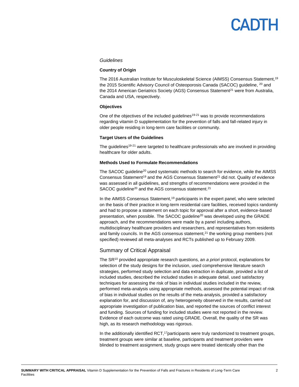## **ANTL**

#### *Guidelines*

#### **Country of Origin**

The 2016 Australian Institute for Musculoskeletal Science (AIMSS) Consensus Statement,<sup>19</sup> the 2015 Scientific Advisory Council of Osteoporosis Canada (SACOC) guideline, <sup>20</sup> and the 2014 American Geriatrics Society (AGS) Consensus Statement<sup>21</sup> were from Australia, Canada and USA, respectively.

#### **Objectives**

One of the objectives of the included guidelines<sup>19-21</sup> was to provide recommendations regarding vitamin D supplementation for the prevention of falls and fall-related injury in older people residing in long-term care facilities or community.

#### **Target Users of the Guidelines**

The guidelines<sup>19-21</sup> were targeted to healthcare professionals who are involved in providing healthcare for older adults.

#### **Methods Used to Formulate Recommendations**

The SACOC guideline<sup>20</sup> used systematic methods to search for evidence, while the AIMSS Consensus Statement<sup>19</sup> and the AGS Consensus Statement<sup>21</sup> did not. Quality of evidence was assessed in all guidelines, and strengths of recommendations were provided in the SACOC quideline<sup>20</sup> and the AGS consensus statement.<sup>21</sup>

In the AIMSS Consensus Statement,<sup>19</sup> participants in the expert panel, who were selected on the basis of their practice in long-term residential care facilities, received topics randomly and had to propose a statement on each topic for approval after a short, evidence-based presentation, when possible. The SACOC quideline<sup>20</sup> was developed using the GRADE approach, and the recommendations were made by a panel including authors, multidisciplinary healthcare providers and researchers, and representatives from residents and family councils. In the AGS consensus statement, $2<sup>1</sup>$  the working group members (not specified) reviewed all meta-analyses and RCTs published up to February 2009.

#### Summary of Critical Appraisal

The SR<sup>10</sup> provided appropriate research questions, an *a priori* protocol, explanations for selection of the study designs for the inclusion, used comprehensive literature search strategies, performed study selection and data extraction in duplicate, provided a list of included studies, described the included studies in adequate detail, used satisfactory techniques for assessing the risk of bias in individual studies included in the review, performed meta-analysis using appropriate methods, assessed the potential impact of risk of bias in individual studies on the results of the meta-analysis, provided a satisfactory explanation for, and discussion of, any heterogeneity observed in the results, carried out appropriate investigation of publication bias, and reported the sources of conflict interest and funding. Sources of funding for included studies were not reported in the review. Evidence of each outcome was rated using GRADE. Overall, the quality of the SR was high, as its research methodology was rigorous.

In the additionally identified  $RCT$ ,<sup>17</sup> participants were truly randomized to treatment groups, treatment groups were similar at baseline, participants and treatment providers were blinded to treatment assignment, study groups were treated identically other than the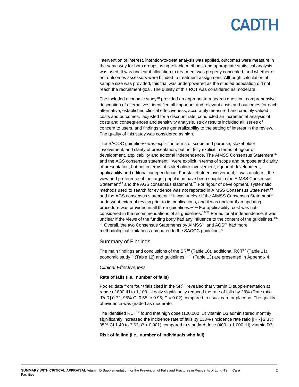## PADTH

intervention of interest, intention-to-treat analysis was applied, outcomes were measure in the same way for both groups using reliable methods, and appropriate statistical analysis was used. It was unclear if allocation to treatment was properly concealed, and whether or not outcomes assessors were blinded to treatment assignment. Although calculation of sample size was provided, this trial was underpowered as the studied population did not reach the recruitment goal. The quality of this RCT was considered as moderate.

The included economic study<sup>18</sup> provided an appropriate research question, comprehensive description of alternatives, identified all important and relevant costs and outcomes for each alternative, established clinical effectiveness, accurately measured and credibly valued costs and outcomes, adjusted for a discount rate, conducted an incremental analysis of costs and consequences and sensitivity analysis, study results included all issues of concern to users, and findings were generalizability to the setting of interest in the review. The quality of this study was considered as high.

The SACOC guideline<sup>20</sup> was explicit in terms of scope and purpose, stakeholder involvement, and clarity of presentation, but not fully explicit in terms of rigour of development, applicability and editorial independence. The AIMSS Consensus Statement<sup>19</sup> and the AGS consensus statement<sup>21</sup> were explicit in terms of scope and purpose and clarity of presentation, but not in terms of stakeholder involvement, rigour of development, applicability and editorial independence. For stakeholder involvement, it was unclear if the view and preference of the target population have been sought in the AIMSS Consensus Statement<sup>19</sup> and the AGS consensus statement.<sup>21</sup> For rigour of development, systematic methods used to search for evidence was not reported in AIMSS Consensus Statement<sup>19</sup> and the AGS consensus statement, $^{21}$  it was unclear if the AIMSS Consensus Statement<sup>19</sup> underwent external review prior to its publications, and it was unclear if an updating procedure was provided in all three guidelines.<sup>19-21</sup> For applicability, cost was not considered in the recommendations of all guidelines.<sup>19-21</sup> For editorial independence, it was unclear if the views of the funding body had any influence to the content of the quidelines.<sup>19-</sup>  $21$  Overall, the two Consensus Statements by AIMSS $19$  and AGS $21$  had more methodological limitations compared to the SACOC guideline.<sup>20</sup>

#### Summary of Findings

The main findings and conclusions of the  $SR^{10}$  [\(Table 10\)](#page-23-0), additional RCT<sup>17</sup> [\(Table 11\)](#page-24-0), economic study<sup>18</sup> [\(Table 12\)](#page-24-1) and guidelines<sup>19-21</sup> [\(Table 13\)](#page-25-0) are presented in [Appendix 4.](#page-23-1)

#### *Clinical Effectiveness*

#### **Rate of falls (i.e., number of falls)**

Pooled data from four trials cited in the SR<sup>10</sup> revealed that vitamin D supplementation at range of 800 IU to 1,100 IU daily significantly reduced the rate of falls by 28% (Rate ratio [RaR]  $0.72$ ;  $95\%$  CI  $0.55$  to  $0.95$ ;  $P = 0.02$ ) compared to usual care or placebo. The quality of evidence was graded as moderate.

The identified  $RCT^{17}$  found that high dose (100,000 IU) vitamin D3 administered monthly significantly increased the incidence rate of falls by 133% (incidence rate ratio [IRR] 2.33; 95% CI 1.49 to 3.63; *P* < 0.001) compared to standard dose (400 to 1,000 IU) vitamin D3.

#### **Risk of falling (i.e., number of individuals who fall)**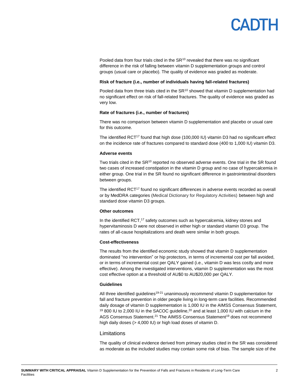

Pooled data from four trials cited in the  $SR^{10}$  revealed that there was no significant difference in the risk of falling between vitamin D supplementation groups and control groups (usual care or placebo). The quality of evidence was graded as moderate.

#### **Risk of fracture (i.e., number of individuals having fall-related fractures)**

Pooled data from three trials cited in the  $SR^{10}$  showed that vitamin D supplementation had no significant effect on risk of fall-related fractures. The quality of evidence was graded as very low.

#### **Rate of fractures (i.e., number of fractures)**

There was no comparison between vitamin D supplementation and placebo or usual care for this outcome.

The identified RCT<sup>17</sup> found that high dose (100,000 IU) vitamin D3 had no significant effect on the incidence rate of fractures compared to standard dose (400 to 1,000 IU) vitamin D3.

#### **Adverse events**

Two trials cited in the  $SR^{10}$  reported no observed adverse events. One trial in the SR found two cases of increased constipation in the vitamin D group and no case of hypercalcemia in either group. One trial in the SR found no significant difference in gastrointestinal disorders between groups.

The identified RCT<sup>17</sup> found no significant differences in adverse events recorded as overall or by MedDRA categories (Medical Dictionary for Regulatory Activities) between high and standard dose vitamin D3 groups.

#### **Other outcomes**

In the identified RCT,<sup>17</sup> safety outcomes such as hypercalcemia, kidney stones and hypervitaminosis D were not observed in either high or standard vitamin D3 group. The rates of all-cause hospitalizations and death were similar in both groups.

#### **Cost-effectiveness**

The results from the identified economic study showed that vitamin D supplementation dominated "no intervention" or hip protectors, in terms of incremental cost per fall avoided, or in terms of incremental cost per QALY gained (i.e., vitamin D was less costly and more effective). Among the investigated interventions, vitamin D supplementation was the most cost effective option at a threshold of AU\$0 to AU\$20,000 per QALY.

#### **Guidelines**

All three identified guidelines<sup>19-21</sup> unanimously recommend vitamin D supplementation for fall and fracture prevention in older people living in long-term care facilities. Recommended daily dosage of vitamin D supplementation is 1,000 IU in the AIMSS Consensus Statement, <sup>19</sup> 800 IU to 2,000 IU in the SACOC guideline,<sup>20</sup> and at least 1,000 IU with calcium in the AGS Consensus Statement.<sup>21</sup> The AIMSS Consensus Statement<sup>19</sup> does not recommend high daily doses (> 4,000 IU) or high load doses of vitamin D.

#### Limitations

The quality of clinical evidence derived from primary studies cited in the SR was considered as moderate as the included studies may contain some risk of bias. The sample size of the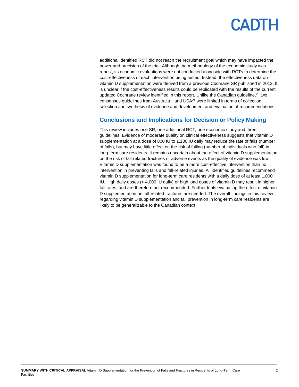additional identified RCT did not reach the recruitment goal which may have impacted the power and precision of the trial. Although the methodology of the economic study was robust, its economic evaluations were not conducted alongside with RCTs to determine the cost-effectiveness of each intervention being tested. Instead, the effectiveness data on vitamin D supplementation were derived from a previous Cochrane SR published in 2012. It is unclear if the cost-effectiveness results could be replicated with the results of the current updated Cochrane review identified in this report. Unlike the Canadian guideline,<sup>20</sup> two consensus quidelines from Australia<sup>19</sup> and USA $2<sup>1</sup>$  were limited in terms of collection, selection and synthesis of evidence and development and evaluation of recommendations.

### **Conclusions and Implications for Decision or Policy Making**

This review includes one SR, one additional RCT, one economic study and three guidelines. Evidence of moderate quality on clinical effectiveness suggests that vitamin D supplementation at a dose of 800 IU to 1,100 IU daily may reduce the rate of falls (number of falls), but may have little effect on the risk of falling (number of individuals who fall) in long-term care residents. It remains uncertain about the effect of vitamin D supplementation on the risk of fall-related fractures or adverse events as the quality of evidence was low. Vitamin D supplementation was found to be a more cost-effective intervention than no intervention in preventing falls and fall-related injuries. All identified guidelines recommend vitamin D supplementation for long-term care residents with a daily dose of at least 1,000 IU. High daily doses (> 4,000 IU daily) or high load doses of vitamin D may result in higher fall rates, and are therefore not recommended. Further trials evaluating the effect of vitamin D supplementation on fall-related fractures are needed. The overall findings in this review regarding vitamin D supplementation and fall prevention in long-term care residents are likely to be generalizable to the Canadian context.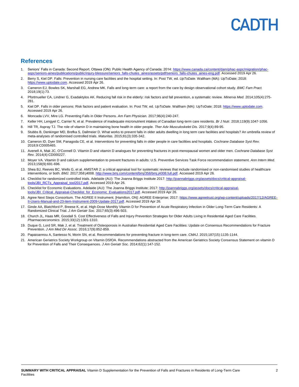#### **References**

- 1. Seniors' Falls in Canada: Second Report. Ottawa (ON): Public Health Agency of Canada; 2014[: https://www.canada.ca/content/dam/phac-aspc/migration/phac](https://www.canada.ca/content/dam/phac-aspc/migration/phac-aspc/seniors-aines/publications/public/injury-blessure/seniors_falls-chutes_aines/assets/pdf/seniors_falls-chutes_aines-eng.pdf)[aspc/seniors-aines/publications/public/injury-blessure/seniors\\_falls-chutes\\_aines/assets/pdf/seniors\\_falls-chutes\\_aines-eng.pdf.](https://www.canada.ca/content/dam/phac-aspc/migration/phac-aspc/seniors-aines/publications/public/injury-blessure/seniors_falls-chutes_aines/assets/pdf/seniors_falls-chutes_aines-eng.pdf) Accessed 2019 Apr 26.
- 2. Berry S, Kiel DP. Falls: Prevention in nursing care facilities and the hospital setting. In: Post TW, ed. *UpToDate*. Waltham (MA): UpToDate; 2018: ww.uptodate.com. Accessed 2019 Apr 26.
- 3. Cameron EJ, Bowles SK, Marshall EG, Andrew MK. Falls and long-term care: a report from the care by design observational cohort study. *BMC Fam Pract.*  2018;19(1):73.
- 4. Pfortmueller CA, Lindner G, Exadaktylos AK. Reducing fall risk in the elderly: risk factors and fall prevention, a systematic review. *Minerva Med.* 2014;105(4):275- 281.
- 5. Kiel DP. Falls in older persons: Risk factors and patient evaluation. In: Post TW, ed. *UpToDate*. Waltham (MA): UpToDate; 2018[: https://www.uptodate.com.](https://www.uptodate.com/)  Accessed 2019 Apr 26.
- 6. Moncada LVV, Mire LG. Preventing Falls in Older Persons. *Am Fam Physician.* 2017;96(4):240-247.
- 7. Keller HH, Lengyel C, Carrier N, et al. Prevalence of inadequate micronutrient intakes of Canadian long-term care residents. *Br J Nutr.* 2018;119(9):1047-1056.
- 8. Hill TR, Aspray TJ. The role of vitamin D in maintaining bone health in older people. *Ther Adv Musculoskelet Dis.* 2017;9(4):89-95.
- 9. Stubbs B, Denkinger MD, Brefka S, Dallmeier D. What works to prevent falls in older adults dwelling in long term care facilities and hospitals? An umbrella review of meta-analyses of randomised controlled trials. *Maturitas.* 2015;81(3):335-342.
- 10. Cameron ID, Dyer SM, Panagoda CE, et al. Interventions for preventing falls in older people in care facilities and hospitals. *Cochrane Database Syst Rev.*  2018;9:CD005465.
- 11. Avenell A, Mak JC, O'Connell D. Vitamin D and vitamin D analogues for preventing fractures in post-menopausal women and older men. *Cochrane Database Syst Rev.* 2014(4):CD000227.
- 12. Moyer VA. Vitamin D and calcium supplementation to prevent fractures in adults: U.S. Preventive Services Task Force recommendation statement. *Ann Intern Med.*  2013;158(9):691-696.
- 13. Shea BJ, Reeves BC, Wells G, et al. AMSTAR 2: a critical appraisal tool for systematic reviews that include randomised or non-randomised studies of healthcare interventions, or both. *BMJ.* 2017;358:j4008[. http://www.bmj.com/content/bmj/358/bmj.j4008.full.pdf.](http://www.bmj.com/content/bmj/358/bmj.j4008.full.pdf) Accessed 2019 Apr 26.
- 14. Checklist for randomized controlled trials. Adelaide (AU): The Joanna Briggs Institute 2017: [http://joannabriggs.org/assets/docs/critical-appraisal](http://joannabriggs.org/assets/docs/critical-appraisal-tools/JBI_RCTs_Appraisal_tool2017.pdf)[tools/JBI\\_RCTs\\_Appraisal\\_tool2017.pdf.](http://joannabriggs.org/assets/docs/critical-appraisal-tools/JBI_RCTs_Appraisal_tool2017.pdf) Accessed 2019 Apr 26.
- 15. Checklist for Economic Evaluations. Adelaide (AU): The Joanna Briggs Institute; 2017[: http://joannabriggs.org/assets/docs/critical-appraisal](http://joannabriggs.org/assets/docs/critical-appraisal-tools/JBI_Critical_Appraisal-Checklist_for_Economic_Evaluations2017.pdf)[tools/JBI\\_Critical\\_Appraisal-Checklist\\_for\\_Economic\\_Evaluations2017.pdf.](http://joannabriggs.org/assets/docs/critical-appraisal-tools/JBI_Critical_Appraisal-Checklist_for_Economic_Evaluations2017.pdf) Accessed 2019 Apr 26.
- 16. Agree Next Steps Consortium. The AGREE II Instrument. [Hamilton, ON]: AGREE Enterprise; 2017: [https://www.agreetrust.org/wp-content/uploads/2017/12/AGREE](https://www.agreetrust.org/wp-content/uploads/2017/12/AGREE-II-Users-Manual-and-23-item-Instrument-2009-Update-2017.pdf)item-Instrument-2009-Update-2017.pdf. Accessed 2019 Apr 26.
- 17. Ginde AA, Blatchford P, Breese K, et al. High-Dose Monthly Vitamin D for Prevention of Acute Respiratory Infection in Older Long-Term Care Residents: A Randomized Clinical Trial. *J Am Geriatr Soc.* 2017;65(3):496-503.
- 18. Church JL, Haas MR, Goodall S. Cost Effectiveness of Falls and Injury Prevention Strategies for Older Adults Living in Residential Aged Care Facilities. *Pharmacoeconomics.* 2015;33(12):1301-1310.
- 19. Duque G, Lord SR, Mak J, et al. Treatment of Osteoporosis in Australian Residential Aged Care Facilities: Update on Consensus Recommendations for Fracture Prevention. *J Am Med Dir Assoc.* 2016;17(9):852-859.
- 20. Papaioannou A, Santesso N, Morin SN, et al. Recommendations for preventing fracture in long-term care. *CMAJ.* 2015;187(15):1135-1144.
- 21. American Geriatrics Society Workgroup on Vitamin DSfOA. Recommendations abstracted from the American Geriatrics Society Consensus Statement on vitamin D for Prevention of Falls and Their Consequences. *J Am Geriatr Soc.* 2014;62(1):147-152.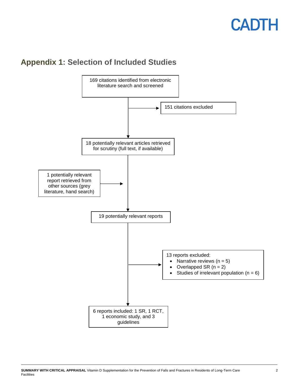

## <span id="page-13-0"></span>**Appendix 1: Selection of Included Studies**

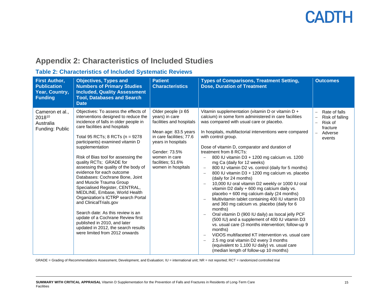## **Appendix 2: Characteristics of Included Studies**

### **Table 2: Characteristics of Included Systematic Reviews**

<span id="page-14-1"></span><span id="page-14-0"></span>

| <b>First Author,</b><br><b>Publication</b><br>Year, Country,<br><b>Funding</b> | <b>Objectives, Types and</b><br><b>Numbers of Primary Studies</b><br><b>Included, Quality Assessment</b><br><b>Tool, Databases and Search</b><br><b>Date</b>                                                                                                                                                                                                                                                                                                                                                                                                                                                                                                                                                                                                                | <b>Patient</b><br><b>Characteristics</b>                                                                                                                                                                                      | <b>Types of Comparisons, Treatment Setting,</b><br><b>Dose, Duration of Treatment</b>                                                                                                                                                                                                                                                                                                                                                                                                                                                                                                                                                                                                                                                                                                                                                                                                                                                                                                                                                                                                                                                                                                            | <b>Outcomes</b>                                                                                                                      |
|--------------------------------------------------------------------------------|-----------------------------------------------------------------------------------------------------------------------------------------------------------------------------------------------------------------------------------------------------------------------------------------------------------------------------------------------------------------------------------------------------------------------------------------------------------------------------------------------------------------------------------------------------------------------------------------------------------------------------------------------------------------------------------------------------------------------------------------------------------------------------|-------------------------------------------------------------------------------------------------------------------------------------------------------------------------------------------------------------------------------|--------------------------------------------------------------------------------------------------------------------------------------------------------------------------------------------------------------------------------------------------------------------------------------------------------------------------------------------------------------------------------------------------------------------------------------------------------------------------------------------------------------------------------------------------------------------------------------------------------------------------------------------------------------------------------------------------------------------------------------------------------------------------------------------------------------------------------------------------------------------------------------------------------------------------------------------------------------------------------------------------------------------------------------------------------------------------------------------------------------------------------------------------------------------------------------------------|--------------------------------------------------------------------------------------------------------------------------------------|
| Cameron et al.,<br>201810<br>Australia<br>Funding: Public                      | Objectives: To assess the effects of<br>interventions designed to reduce the<br>incidence of falls in older people in<br>care facilities and hospitals<br>Total 95 RCTs; 8 RCTs (n = 9278<br>participants) examined vitamin D<br>supplementation<br>Risk of Bias tool for assessing the<br>quality RCTs; GRADE for<br>assessing the quality of the body of<br>evidence for each outcome<br>Databases: Cochrane Bone, Joint<br>and Muscle Trauma Group<br>Specialised Register, CENTRAL,<br>MEDLINE, Embase, World Health<br>Organization's ICTRP search Portal<br>and ClinicalTrials.gov<br>Search date: As this review is an<br>update of a Cochrane Review first<br>published in 2010, and later<br>updated in 2012, the search results<br>were limited from 2012 onwards | Older people ( $\geq 65$<br>years) in care<br>facilities and hospitals<br>Mean age: 83.5 years<br>in care facilities; 77.6<br>years in hospitals<br>Gender: 73.5%<br>women in care<br>facilities: 51.6%<br>women in hospitals | Vitamin supplementation (vitamin D or vitamin D +<br>calcium) in some form administered in care facilities<br>was compared with usual care or placebo.<br>In hospitals, multifactorial interventions were compared<br>with control group.<br>Dose of vitamin D, comparator and duration of<br>treatment from 8 RCTs:<br>800 IU vitamin D3 + 1200 mg calcium vs. 1200<br>mg Ca (daily for 12 weeks)<br>800 IU vitamin D2 vs. control (daily for 5 months)<br>$\overline{\phantom{m}}$<br>800 IU vitamin D3 + 1200 mg calcium vs. placebo<br>(daily for 24 months)<br>10,000 IU oral vitamin D2 weekly or 1000 IU oral<br>vitamin D2 daily + 600 mg calcium daily vs.<br>placebo + 600 mg calcium daily (24 months)<br>Multivitamin tablet containing 400 IU vitamin D3<br>and 360 mg calcium vs. placebo (daily for 6<br>months)<br>Oral vitamin D (900 IU daily) as Isocal jelly PCF<br>(500 IU) and a supplement of 400 IU vitamin D3<br>vs. usual care (3 months intervention; follow-up 9<br>months)<br>ViDOS multifaceted KT intervention vs. usual care<br>2.5 mg oral vitamin D2 every 3 months<br>(equivalent to 1,100 IU daily) vs. usual care<br>(median length of follow-up 10 months) | Rate of falls<br>Risk of falling<br>Risk of<br>$\overline{\phantom{0}}$<br>fracture<br>Adverse<br>$\overline{\phantom{0}}$<br>events |

GRADE = Grading of Recommendations Assessment, Development, and Evaluation; IU = international unit; NR = not reported; RCT = randomized controlled trial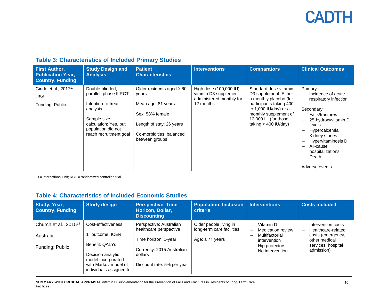| <b>First Author,</b><br><b>Publication Year,</b><br><b>Country, Funding</b> | <b>Study Design and</b><br><b>Analysis</b>                                                                                                                          | <b>Patient</b><br><b>Characteristics</b>                                                                                                                   | <b>Interventions</b>                                                                     | <b>Comparators</b>                                                                                                                                                                                        | <b>Clinical Outcomes</b>                                                                                                                                                                                                                                                                               |
|-----------------------------------------------------------------------------|---------------------------------------------------------------------------------------------------------------------------------------------------------------------|------------------------------------------------------------------------------------------------------------------------------------------------------------|------------------------------------------------------------------------------------------|-----------------------------------------------------------------------------------------------------------------------------------------------------------------------------------------------------------|--------------------------------------------------------------------------------------------------------------------------------------------------------------------------------------------------------------------------------------------------------------------------------------------------------|
| Ginde et al., 2017 <sup>17</sup><br><b>USA</b><br>Funding: Public           | Double-blinded,<br>parallel, phase II RCT<br>Intention-to-treat<br>analysis<br>Sample size<br>calculation: Yes, but<br>population did not<br>reach recruitment goal | Older residents aged $\geq 60$<br>years<br>Mean age: 81 years<br>Sex: 58% female<br>Length of stay: 26 years<br>Co-morbidities: balanced<br>between groups | High dose (100,000 IU)<br>vitamin D3 supplement<br>administered monthly for<br>12 months | Standard dose vitamin<br>D3 supplement: Either<br>a monthly placebo (for<br>participants taking 400<br>to $1,000$ IU/day) or a<br>monthly supplement of<br>12,000 IU (for those<br>taking $<$ 400 IU/day) | Primary:<br>Incidence of acute<br>$\equiv$<br>respiratory infection<br>Secondary:<br>Falls/fractures<br>$\frac{1}{2}$<br>25-hydroxyvitamin D<br>levels<br>Hypercalcemia<br>Kidney stones<br>Hypervitaminosis D<br>All-cause<br>hospitalizations<br>Death<br>$\overline{\phantom{m}}$<br>Adverse events |

<span id="page-15-0"></span>IU = international unit; RCT = randomized controlled trial

### **Table 4: Characteristics of Included Economic Studies**

<span id="page-15-1"></span>

| Study, Year,<br><b>Country, Funding</b> | <b>Study design</b>                                                                                          | <b>Perspective, Time</b><br>Horizon, Dollar,<br><b>Discounting</b> | <b>Population, Inclusion</b><br>criteria            | <b>Interventions</b>                                 | <b>Costs included</b>                                                |
|-----------------------------------------|--------------------------------------------------------------------------------------------------------------|--------------------------------------------------------------------|-----------------------------------------------------|------------------------------------------------------|----------------------------------------------------------------------|
| Church et al., 2015 <sup>18</sup>       | Cost-effectiveness                                                                                           | Perspective: Australian<br>healthcare perspective                  | Older people living in<br>long-term care facilities | Vitamin D<br>$\equiv$<br><b>Medication review</b>    | Intervention costs<br>Healthcare-related<br>$\overline{\phantom{0}}$ |
| Australia                               | 1 <sup>°</sup> outcome: ICER                                                                                 | Time horizon: 1-year                                               | Age: $\geq$ 71 years                                | Multifactorial<br>$\qquad \qquad$<br>intervention    | costs (emergency,<br>other medical                                   |
| Funding: Public                         | Benefit: QALYs<br>Decision analytic<br>model incorporated<br>with Markov model of<br>individuals assigned to | Currency: 2015 Australian<br>dollars<br>Discount rate: 5% per year |                                                     | Hip protectors<br>No intervention<br>$\qquad \qquad$ | services, hospital<br>admission)                                     |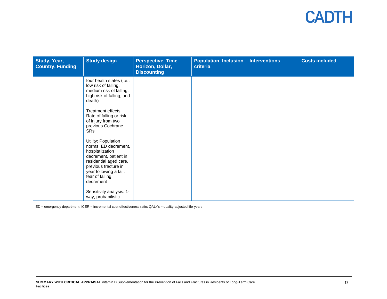| Study, Year,<br><b>Country, Funding</b> | <b>Study design</b>                                                                                                                                                                                 | <b>Perspective, Time</b><br>Horizon, Dollar,<br><b>Discounting</b> | <b>Population, Inclusion</b><br>criteria | <b>Interventions</b> | <b>Costs included</b> |
|-----------------------------------------|-----------------------------------------------------------------------------------------------------------------------------------------------------------------------------------------------------|--------------------------------------------------------------------|------------------------------------------|----------------------|-----------------------|
|                                         | four health states (i.e.,<br>low risk of falling,<br>medium risk of falling,<br>high risk of falling, and<br>death)                                                                                 |                                                                    |                                          |                      |                       |
|                                         | Treatment effects:<br>Rate of falling or risk<br>of injury from two<br>previous Cochrane<br>SRs                                                                                                     |                                                                    |                                          |                      |                       |
|                                         | Utility: Population<br>norms, ED decrement,<br>hospitalization<br>decrement, patient in<br>residential aged care,<br>previous fracture in<br>year following a fall,<br>fear of falling<br>decrement |                                                                    |                                          |                      |                       |
|                                         | Sensitivity analysis: 1-<br>way, probabilistic                                                                                                                                                      |                                                                    |                                          |                      |                       |

ED = emergency department; ICER = incremental cost-effectiveness ratio; QALYs = quality-adjusted life-years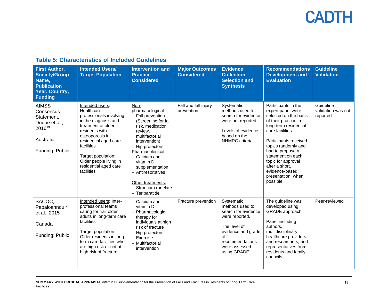### **Table 5: Characteristics of Included Guidelines**

<span id="page-17-0"></span>

| <b>First Author,</b><br><b>Society/Group</b><br>Name,<br><b>Publication</b><br>Year, Country,<br><b>Funding</b> | <b>Intended Users/</b><br><b>Target Population</b>                                                                                                                                                                                                                        | <b>Intervention and</b><br><b>Practice</b><br><b>Considered</b>                                                                                                                                                                                                                                                     | <b>Major Outcomes</b><br><b>Considered</b> | <b>Evidence</b><br><b>Collection,</b><br><b>Selection and</b><br><b>Synthesis</b>                                                                                     | <b>Recommendations</b><br><b>Development and</b><br><b>Evaluation</b>                                                                                                                                                                                                                                                        | <b>Guideline</b><br><b>Validation</b>       |
|-----------------------------------------------------------------------------------------------------------------|---------------------------------------------------------------------------------------------------------------------------------------------------------------------------------------------------------------------------------------------------------------------------|---------------------------------------------------------------------------------------------------------------------------------------------------------------------------------------------------------------------------------------------------------------------------------------------------------------------|--------------------------------------------|-----------------------------------------------------------------------------------------------------------------------------------------------------------------------|------------------------------------------------------------------------------------------------------------------------------------------------------------------------------------------------------------------------------------------------------------------------------------------------------------------------------|---------------------------------------------|
| <b>AIMSS</b><br>Consensus<br>Statement.<br>Duque et al.,<br>201619<br>Australia<br>Funding: Public              | Intended users:<br>Healthcare<br>professionals involving<br>in the diagnosis and<br>treatment of older<br>residents with<br>osteoporosis in<br>residential aged care<br>facilities<br>Target population:<br>Older people living in<br>residential aged care<br>facilities | Non-<br>pharmacological:<br>- Fall prevention<br>(Screening for fall<br>risk, medication<br>review,<br>multifactorial<br>intervention)<br>- Hip protectors<br>Pharmacological:<br>- Calcium and<br>vitamin D<br>supplementation<br>- Antiresorptives<br>Other treatments:<br>- Strontium ranelate<br>- Teriparatide | Fall and fall injury<br>prevention         | Systematic<br>methods used to<br>search for evidence<br>were not reported.<br>Levels of evidence:<br>based on the<br>NHMRC criteria                                   | Participants in the<br>expert panel were<br>selected on the basis<br>of their practice in<br>long-term residential<br>care facilities.<br>Participants received<br>topics randomly and<br>had to propose a<br>statement on each<br>topic for approval<br>after a short,<br>evidence-based<br>presentation, when<br>possible. | Guideline<br>validation was not<br>reported |
| SACOC,<br>Papaioannou <sup>20</sup><br>et al., 2015<br>Canada<br>Funding: Public                                | Intended users: Inter-<br>professional teams<br>caring for frail older<br>adults in long-term care<br>facilities<br>Target population:<br>Older residents in long-<br>term care facilities who<br>are high risk or not at<br>high risk of fracture                        | - Calcium and<br>vitamin D<br>- Pharmacologic<br>therapy for<br>individuals at high<br>risk of fracture<br>- Hip protectors<br>$-$ Exercise<br>- Multifactorial<br>intervention                                                                                                                                     | Fracture prevention                        | Systematic<br>methods used to<br>search for evidence<br>were reported.<br>The level of<br>evidence and grade<br>of<br>recommendations<br>were assessed<br>using GRADE | The guideline was<br>developed using<br>GRADE approach.<br>Panel including<br>authors.<br>multidisciplinary<br>healthcare providers<br>and researchers, and<br>representatives from<br>residents and family<br>councils.                                                                                                     | Peer-reviewed                               |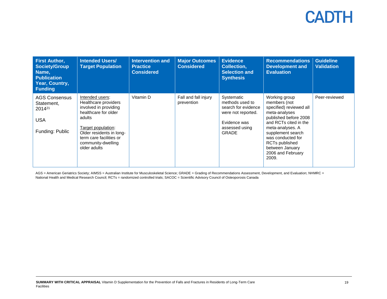| <b>First Author,</b><br><b>Society/Group</b><br>Name,<br><b>Publication</b><br>Year, Country,<br><b>Funding</b> | <b>Intended Users/</b><br><b>Target Population</b>                                                                                                                                                                    | <b>Intervention and</b><br><b>Practice</b><br><b>Considered</b> | <b>Major Outcomes</b><br><b>Considered</b> | <b>Evidence</b><br><b>Collection,</b><br><b>Selection and</b><br><b>Synthesis</b>                                            | <b>Recommendations</b><br><b>Development and</b><br><b>Evaluation</b>                                                                                                                                                                                        | <b>Guideline</b><br><b>Validation</b> |
|-----------------------------------------------------------------------------------------------------------------|-----------------------------------------------------------------------------------------------------------------------------------------------------------------------------------------------------------------------|-----------------------------------------------------------------|--------------------------------------------|------------------------------------------------------------------------------------------------------------------------------|--------------------------------------------------------------------------------------------------------------------------------------------------------------------------------------------------------------------------------------------------------------|---------------------------------------|
| <b>AGS Consensus</b><br>Statement,<br>2014 <sup>21</sup><br><b>USA</b><br>Funding: Public                       | Intended users:<br>Healthcare providers<br>involved in providing<br>healthcare for older<br>adults<br>Target population:<br>Older residents in long-<br>term care facilities or<br>community-dwelling<br>older adults | Vitamin D                                                       | Fall and fall injury<br>prevention         | Systematic<br>methods used to<br>search for evidence<br>were not reported.<br>Evidence was<br>assessed using<br><b>GRADE</b> | Working group<br>members (not<br>specified) reviewed all<br>meta-analyses<br>published before 2008<br>and RCTs cited in the<br>meta-analyses. A<br>supplement search<br>was conducted for<br>RCTs published<br>between January<br>2006 and February<br>2009. | Peer-reviewed                         |

AGS = American Geriatrics Society; AIMSS = Australian Institute for Musculoskeletal Science; GRADE = Grading of Recommendations Assessment, Development, and Evaluation; NHMRC = National Health and Medical Research Council; RCTs = randomized controlled trials; SACOC = Scientific Advisory Council of Osteoporosis Canada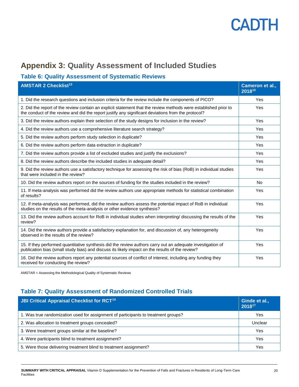## **Appendix 3: Quality Assessment of Included Studies**

### **Table 6: Quality Assessment of Systematic Reviews**

| <b>AMSTAR 2 Checklist<sup>13</sup></b>                                                                                                                                                                                | Cameron et al<br>201810 |
|-----------------------------------------------------------------------------------------------------------------------------------------------------------------------------------------------------------------------|-------------------------|
| 1. Did the research questions and inclusion criteria for the review include the components of PICO?                                                                                                                   | Yes                     |
| 2. Did the report of the review contain an explicit statement that the review methods were established prior to<br>the conduct of the review and did the report justify any significant deviations from the protocol? | Yes                     |
| 3. Did the review authors explain their selection of the study designs for inclusion in the review?                                                                                                                   | Yes                     |
| 4. Did the review authors use a comprehensive literature search strategy?                                                                                                                                             | Yes                     |
| 5. Did the review authors perform study selection in duplicate?                                                                                                                                                       | Yes                     |
| 6. Did the review authors perform data extraction in duplicate?                                                                                                                                                       | Yes                     |
| 7. Did the review authors provide a list of excluded studies and justify the exclusions?                                                                                                                              | Yes                     |
| 8. Did the review authors describe the included studies in adequate detail?                                                                                                                                           | Yes                     |
| 9. Did the review authors use a satisfactory technique for assessing the risk of bias (RoB) in individual studies<br>that were included in the review?                                                                | Yes                     |
| 10. Did the review authors report on the sources of funding for the studies included in the review?                                                                                                                   | <b>No</b>               |
| 11. If meta-analysis was performed did the review authors use appropriate methods for statistical combination<br>of results?                                                                                          | Yes                     |
| 12. If meta-analysis was performed, did the review authors assess the potential impact of RoB in individual<br>studies on the results of the meta-analysis or other evidence synthesis?                               | Yes                     |
| 13. Did the review authors account for RoB in individual studies when interpreting/ discussing the results of the<br>review?                                                                                          | Yes                     |
| 14. Did the review authors provide a satisfactory explanation for, and discussion of, any heterogeneity<br>observed in the results of the review?                                                                     | Yes                     |
| 15. If they performed quantitative synthesis did the review authors carry out an adequate investigation of<br>publication bias (small study bias) and discuss its likely impact on the results of the review?         | Yes                     |
| 16. Did the review authors report any potential sources of conflict of interest, including any funding they<br>received for conducting the review?                                                                    | Yes                     |

AMSTAR = Assessing the Methodological Quality of Systematic Reviews

### **Table 7: Quality Assessment of Randomized Controlled Trials**

| <b>JBI Critical Appraisal Checklist for RCT<sup>14</sup></b>                       | Ginde et al.,<br>201817 |
|------------------------------------------------------------------------------------|-------------------------|
| 1. Was true randomization used for assignment of participants to treatment groups? | Yes                     |
| 2. Was allocation to treatment groups concealed?                                   | Unclear                 |
| 3. Were treatment groups similar at the baseline?                                  | Yes                     |
| 4. Were participants blind to treatment assignment?                                | Yes                     |
| 5. Were those delivering treatment blind to treatment assignment?                  | Yes                     |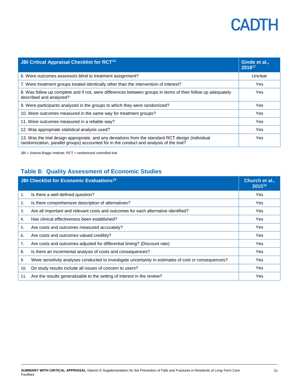| <b>JBI Critical Appraisal Checklist for RCT<sup>14</sup></b>                                                                                                                                 | Ginde et al.,<br>201817 |
|----------------------------------------------------------------------------------------------------------------------------------------------------------------------------------------------|-------------------------|
| 6. Were outcomes assessors blind to treatment assignment?                                                                                                                                    | Unclear                 |
| 7. Were treatment groups treated identically other than the intervention of interest?                                                                                                        | <b>Yes</b>              |
| 8. Was follow up complete and if not, were differences between groups in terms of their follow up adequately<br>described and analyzed?                                                      | Yes                     |
| 9. Were participants analyzed in the groups to which they were randomized?                                                                                                                   | Yes                     |
| 10. Were outcomes measured in the same way for treatment groups?                                                                                                                             | Yes                     |
| 11. Were outcomes measured in a reliable way?                                                                                                                                                | <b>Yes</b>              |
| 12. Was appropriate statistical analysis used?                                                                                                                                               | Yes                     |
| 13. Was the trial design appropriate, and any deviations from the standard RCT design (individual<br>randomization, parallel groups) accounted for in the conduct and analysis of the trial? | <b>Yes</b>              |

JBI = Joanna Briggs Institute; RCT = randomized controlled trial

### **Table 8: Quality Assessment of Economic Studies**

| <b>JBI Checklist for Economic Evaluations<sup>15</sup></b> |                                                                                                      | Church et al.,<br>201518 |
|------------------------------------------------------------|------------------------------------------------------------------------------------------------------|--------------------------|
| 1.                                                         | Is there a well-defined question?                                                                    | <b>Yes</b>               |
| 2.                                                         | Is there comprehensive description of alternatives?                                                  | <b>Yes</b>               |
| 3.                                                         | Are all important and relevant costs and outcomes for each alternative identified?                   | Yes                      |
| 4.                                                         | Has clinical effectiveness been established?                                                         | Yes                      |
| 5.                                                         | Are costs and outcomes measured accurately?                                                          | Yes                      |
| 6.                                                         | Are costs and outcomes valued credibly?                                                              | <b>Yes</b>               |
| 7.                                                         | Are costs and outcomes adjusted for differential timing? (Discount rate)                             | Yes                      |
| 8.                                                         | Is there an incremental analysis of costs and consequences?                                          | <b>Yes</b>               |
| 9.                                                         | Were sensitivity analyses conducted to investigate uncertainty in estimates of cost or consequences? | Yes                      |
| 10.                                                        | Do study results include all issues of concern to users?                                             | Yes                      |
| 11.                                                        | Are the results generalizable to the setting of interest in the review?                              | Yes                      |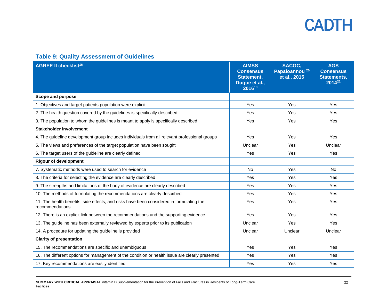### **Table 9: Quality Assessment of Guidelines**

| <b>AGREE II checklist<sup>16</sup></b>                                                                      | <b>AIMSS</b><br><b>Consensus</b><br>Statement,<br>Duque et al.,<br>201619 | SACOC,<br>Papaioannou <sup>20</sup><br>et al., 2015 | <b>AGS</b><br><b>Consensus</b><br><b>Statements,</b><br>2014 <sup>21</sup> |
|-------------------------------------------------------------------------------------------------------------|---------------------------------------------------------------------------|-----------------------------------------------------|----------------------------------------------------------------------------|
| Scope and purpose                                                                                           |                                                                           |                                                     |                                                                            |
| 1. Objectives and target patients population were explicit                                                  | Yes                                                                       | Yes                                                 | Yes                                                                        |
| 2. The health question covered by the guidelines is specifically described                                  | Yes                                                                       | Yes                                                 | Yes                                                                        |
| 3. The population to whom the guidelines is meant to apply is specifically described                        | Yes                                                                       | Yes                                                 | Yes                                                                        |
| <b>Stakeholder involvement</b>                                                                              |                                                                           |                                                     |                                                                            |
| 4. The guideline development group includes individuals from all relevant professional groups               | Yes                                                                       | Yes                                                 | Yes                                                                        |
| 5. The views and preferences of the target population have been sought                                      | Unclear                                                                   | Yes                                                 | Unclear                                                                    |
| 6. The target users of the guideline are clearly defined                                                    | Yes                                                                       | Yes                                                 | Yes                                                                        |
| <b>Rigour of development</b>                                                                                |                                                                           |                                                     |                                                                            |
| 7. Systematic methods were used to search for evidence                                                      | <b>No</b>                                                                 | Yes                                                 | <b>No</b>                                                                  |
| 8. The criteria for selecting the evidence are clearly described                                            | Yes                                                                       | <b>Yes</b>                                          | Yes                                                                        |
| 9. The strengths and limitations of the body of evidence are clearly described                              | Yes                                                                       | Yes                                                 | Yes                                                                        |
| 10. The methods of formulating the recommendations are clearly described                                    | <b>Yes</b>                                                                | <b>Yes</b>                                          | Yes                                                                        |
| 11. The health benefits, side effects, and risks have been considered in formulating the<br>recommendations | Yes                                                                       | Yes                                                 | Yes                                                                        |
| 12. There is an explicit link between the recommendations and the supporting evidence                       | Yes                                                                       | Yes                                                 | Yes                                                                        |
| 13. The guideline has been externally reviewed by experts prior to its publication                          | Unclear                                                                   | Yes                                                 | Yes                                                                        |
| 14. A procedure for updating the guideline is provided                                                      | Unclear                                                                   | Unclear                                             | Unclear                                                                    |
| <b>Clarity of presentation</b>                                                                              |                                                                           |                                                     |                                                                            |
| 15. The recommendations are specific and unambiguous                                                        | Yes                                                                       | Yes                                                 | Yes                                                                        |
| 16. The different options for management of the condition or health issue are clearly presented             | Yes                                                                       | Yes                                                 | Yes                                                                        |
| 17. Key recommendations are easily identified                                                               | Yes                                                                       | Yes                                                 | Yes                                                                        |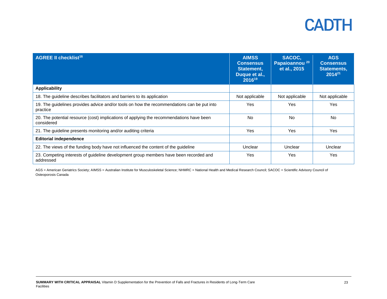| <b>AGREE II checklist<sup>16</sup></b>                                                                 | <b>AIMSS</b><br><b>Consensus</b><br>Statement,<br>Duque et al.,<br>201619 | SACOC,<br>Papaioannou <sup>20</sup><br>et al., 2015 | <b>AGS</b><br><b>Consensus</b><br>Statements,<br>$2014^{21}$ |
|--------------------------------------------------------------------------------------------------------|---------------------------------------------------------------------------|-----------------------------------------------------|--------------------------------------------------------------|
| <b>Applicability</b>                                                                                   |                                                                           |                                                     |                                                              |
| 18. The guideline describes facilitators and barriers to its application                               | Not applicable                                                            | Not applicable                                      | Not applicable                                               |
| 19. The guidelines provides advice and/or tools on how the recommendations can be put into<br>practice | Yes                                                                       | Yes                                                 | Yes                                                          |
| 20. The potential resource (cost) implications of applying the recommendations have been<br>considered | <b>No</b>                                                                 | No.                                                 | No                                                           |
| 21. The guideline presents monitoring and/or auditing criteria                                         | <b>Yes</b>                                                                | <b>Yes</b>                                          | Yes                                                          |
| <b>Editorial independence</b>                                                                          |                                                                           |                                                     |                                                              |
| 22. The views of the funding body have not influenced the content of the guideline                     | Unclear                                                                   | Unclear                                             | Unclear                                                      |
| 23. Competing interests of guideline development group members have been recorded and<br>addressed     | Yes                                                                       | Yes                                                 | Yes                                                          |

AGS = American Geriatrics Society; AIMSS = Australian Institute for Musculoskeletal Science; NHMRC = National Health and Medical Research Council; SACOC = Scientific Advisory Council of Osteoporosis Canada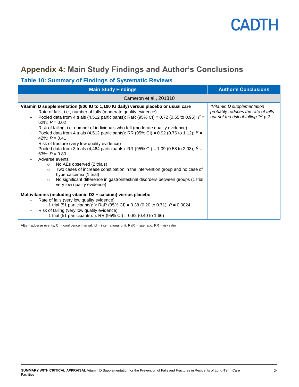## <span id="page-23-1"></span>**Appendix 4: Main Study Findings and Author's Conclusions**

### <span id="page-23-0"></span>**Table 10: Summary of Findings of Systematic Reviews**

| <b>Main Study Findings</b>                                                                                                                                                                                                                                                                                                                                                                                                                                                                                                                                                                                                                                                                                                                                                                                                                                                                                                                                                                                                                                                                                            | <b>Author's Conclusions</b>                                                                                         |  |  |
|-----------------------------------------------------------------------------------------------------------------------------------------------------------------------------------------------------------------------------------------------------------------------------------------------------------------------------------------------------------------------------------------------------------------------------------------------------------------------------------------------------------------------------------------------------------------------------------------------------------------------------------------------------------------------------------------------------------------------------------------------------------------------------------------------------------------------------------------------------------------------------------------------------------------------------------------------------------------------------------------------------------------------------------------------------------------------------------------------------------------------|---------------------------------------------------------------------------------------------------------------------|--|--|
| Cameron et al., 201810                                                                                                                                                                                                                                                                                                                                                                                                                                                                                                                                                                                                                                                                                                                                                                                                                                                                                                                                                                                                                                                                                                |                                                                                                                     |  |  |
| Vitamin D supplementation (800 IU to 1,100 IU daily) versus placebo or usual care<br>Rate of falls, i.e., number of falls (moderate quality evidence)<br>$\overline{\phantom{m}}$<br>Pooled data from 4 trials (4,512 participants): RaR (95% CI) = 0.72 (0.55 to 0.95); $P =$<br>$\qquad \qquad -$<br>62%; $P = 0.02$<br>Risk of falling, i.e. number of individuals who fell (moderate quality evidence)<br>$\overline{\phantom{m}}$<br>Pooled data from 4 trials (4,512 participants): RR (95% CI) = 0.92 (0.76 to 1.12); $P =$<br>$\overline{\phantom{m}}$<br>42%; $P = 0.41$<br>Risk of fracture (very low quality evidence)<br>$\overline{\phantom{m}}$<br>Pooled data from 3 trials (4,464 participants): RR (95% CI) = 1.09 (0.58 to 2.03); $P =$<br>$\overline{\phantom{m}}$<br>63%; $P = 0.80$<br>Adverse events<br>No AEs observed (2 trials)<br>$\circ$<br>Two cases of increase constipation in the intervention group and no case of<br>$\circ$<br>hypercalcemia (1 trial)<br>No significant difference in gastrointestinal disorders between groups (1 trial;<br>$\circ$<br>very low quality evidence) | "Vitamin D supplementation<br>probably reduces the rate of falls<br>but not the risk of falling." <sup>10</sup> p.2 |  |  |
| Multivitamins (including vitamin D3 + calcium) versus placebo<br>Rate of falls (very low quality evidence)<br>1 trial (51 participants): ): RaR (95% CI) = 0.38 (0.20 to 0.71); $P = 0.0024$<br>Risk of falling (very low quality evidence)<br>1 trial (51 participants): ): RR (95% CI) = $0.82$ (0.40 to 1.66)                                                                                                                                                                                                                                                                                                                                                                                                                                                                                                                                                                                                                                                                                                                                                                                                      |                                                                                                                     |  |  |

AEs = adverse events; CI = confidence interval; IU = international unit; RaR = rate ratio; RR = risk ratio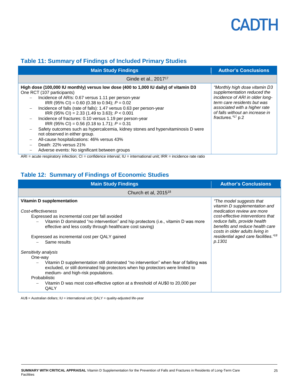

### <span id="page-24-0"></span>**Table 11: Summary of Findings of Included Primary Studies**

| <b>Main Study Findings</b>                                                                                                                                                                                                                                                                                                                                                                                                                                                                                                                                                                                                                                                                                                                                                                               | <b>Author's Conclusions</b>                                                                                                                                                                                               |  |  |  |
|----------------------------------------------------------------------------------------------------------------------------------------------------------------------------------------------------------------------------------------------------------------------------------------------------------------------------------------------------------------------------------------------------------------------------------------------------------------------------------------------------------------------------------------------------------------------------------------------------------------------------------------------------------------------------------------------------------------------------------------------------------------------------------------------------------|---------------------------------------------------------------------------------------------------------------------------------------------------------------------------------------------------------------------------|--|--|--|
| Ginde et al., 2017 <sup>17</sup>                                                                                                                                                                                                                                                                                                                                                                                                                                                                                                                                                                                                                                                                                                                                                                         |                                                                                                                                                                                                                           |  |  |  |
| High dose (100,000 IU monthly) versus low dose (400 to 1,000 IU daily) of vitamin D3<br>One RCT (107 participants)<br>Incidence of ARIs: 0.67 versus 1.11 per person-year<br>IRR (95% CI) = 0.60 (0.38 to 0.94); $P = 0.02$<br>Incidence of falls (rate of falls): 1.47 versus 0.63 per person-year<br>$\overline{\phantom{0}}$<br>IRR (95% CI) = 2.33 (1.49 to 3.63); $P < 0.001$<br>Incidence of fractures: 0.10 versus 1.19 per person-year<br>$\overline{\phantom{0}}$<br>IRR (95% CI) = 0.56 (0.18 to 1.71); $P = 0.31$<br>Safety outcomes such as hypercalcemia, kidney stones and hypervitaminosis D were<br>not observed in either group.<br>All-cause hospitalizations: 46% versus 43%<br>$\qquad \qquad -$<br>Death: 22% versus 21%<br>Adverse events: No significant between groups<br>$\sim$ | "Monthly high dose vitamin D3<br>supplementation reduced the<br>incidence of ARI in older long-<br>term care residents but was<br>associated with a higher rate<br>of falls without an increase in<br>fractures. $77$ p.2 |  |  |  |

 $ARI =$  acute respiratory infection;  $CI =$  confidence interval;  $IU =$  international unit;  $IRR =$  incidence rate ratio

### <span id="page-24-1"></span>**Table 12: Summary of Findings of Economic Studies**

| <b>Main Study Findings</b>                                                                                                                                                                                                                                                                                                                                                                                                                                                                                                                                                                                                                                                           | <b>Author's Conclusions</b>                                                                                                                                                                                                                                                                      |  |  |  |
|--------------------------------------------------------------------------------------------------------------------------------------------------------------------------------------------------------------------------------------------------------------------------------------------------------------------------------------------------------------------------------------------------------------------------------------------------------------------------------------------------------------------------------------------------------------------------------------------------------------------------------------------------------------------------------------|--------------------------------------------------------------------------------------------------------------------------------------------------------------------------------------------------------------------------------------------------------------------------------------------------|--|--|--|
| Church et al, 2015 <sup>18</sup>                                                                                                                                                                                                                                                                                                                                                                                                                                                                                                                                                                                                                                                     |                                                                                                                                                                                                                                                                                                  |  |  |  |
| Vitamin D supplementation<br>Cost-effectiveness<br>Expressed as incremental cost per fall avoided<br>Vitamin D dominated "no intervention" and hip protectors (i.e., vitamin D was more<br>effective and less costly through healthcare cost saving)<br>Expressed as incremental cost per QALY gained<br>Same results<br>Sensitivity analysis<br>One-way<br>Vitamin D supplementation still dominated "no intervention" when fear of falling was<br>excluded, or still dominated hip protectors when hip protectors were limited to<br>medium- and high-risk populations.<br>Probabilistic<br>Vitamin D was most cost-effective option at a threshold of AU\$0 to 20,000 per<br>QALY | "The model suggests that<br>vitamin D supplementation and<br>medication review are more<br>cost-effective interventions that<br>reduce falls, provide health<br>benefits and reduce health care<br>costs in older adults living in<br>residential aged care facilities." <sup>18</sup><br>p.1301 |  |  |  |

AU\$ = Australian dollars; IU = international unit; QALY = quality-adjusted life-year